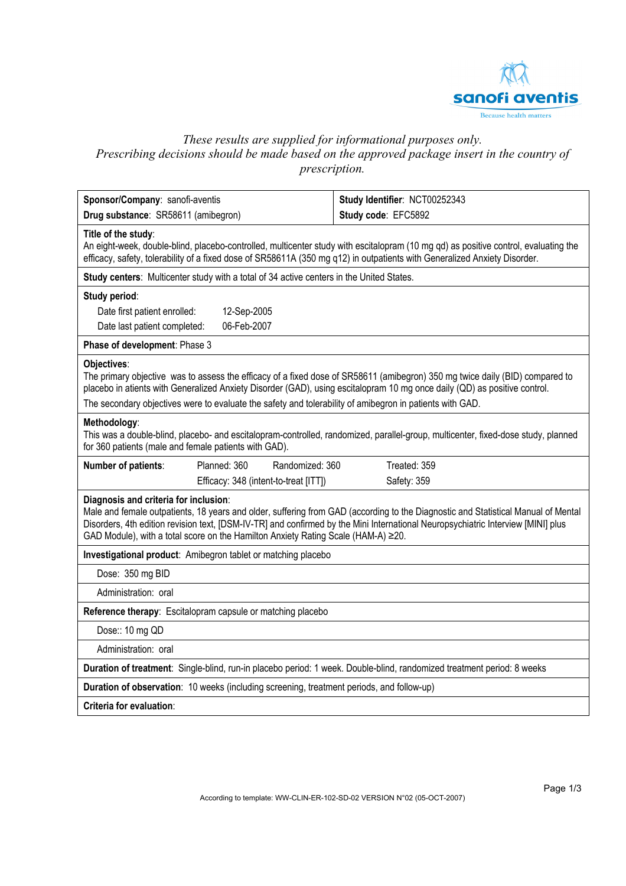

# *These results are supplied for informational purposes only. Prescribing decisions should be made based on the approved package insert in the country of prescription.*

| Sponsor/Company: sanofi-aventis                                                                                                                                                                                                                                                                                                                                                      |                                                                                   | Study Identifier: NCT00252343                                                                                                                                                                                                                                         |  |  |  |  |  |
|--------------------------------------------------------------------------------------------------------------------------------------------------------------------------------------------------------------------------------------------------------------------------------------------------------------------------------------------------------------------------------------|-----------------------------------------------------------------------------------|-----------------------------------------------------------------------------------------------------------------------------------------------------------------------------------------------------------------------------------------------------------------------|--|--|--|--|--|
| Drug substance: SR58611 (amibegron)                                                                                                                                                                                                                                                                                                                                                  |                                                                                   | Study code: EFC5892                                                                                                                                                                                                                                                   |  |  |  |  |  |
| Title of the study:                                                                                                                                                                                                                                                                                                                                                                  |                                                                                   | An eight-week, double-blind, placebo-controlled, multicenter study with escitalopram (10 mg qd) as positive control, evaluating the<br>efficacy, safety, tolerability of a fixed dose of SR58611A (350 mg q12) in outpatients with Generalized Anxiety Disorder.      |  |  |  |  |  |
| Study centers: Multicenter study with a total of 34 active centers in the United States.                                                                                                                                                                                                                                                                                             |                                                                                   |                                                                                                                                                                                                                                                                       |  |  |  |  |  |
| Study period:<br>Date first patient enrolled:<br>Date last patient completed:                                                                                                                                                                                                                                                                                                        | 12-Sep-2005<br>06-Feb-2007                                                        |                                                                                                                                                                                                                                                                       |  |  |  |  |  |
| Phase of development: Phase 3                                                                                                                                                                                                                                                                                                                                                        |                                                                                   |                                                                                                                                                                                                                                                                       |  |  |  |  |  |
| Objectives:<br>The primary objective was to assess the efficacy of a fixed dose of SR58611 (amibegron) 350 mg twice daily (BID) compared to<br>placebo in atients with Generalized Anxiety Disorder (GAD), using escitalopram 10 mg once daily (QD) as positive control.<br>The secondary objectives were to evaluate the safety and tolerability of amibegron in patients with GAD. |                                                                                   |                                                                                                                                                                                                                                                                       |  |  |  |  |  |
| Methodology:<br>for 360 patients (male and female patients with GAD).                                                                                                                                                                                                                                                                                                                |                                                                                   | This was a double-blind, placebo- and escitalopram-controlled, randomized, parallel-group, multicenter, fixed-dose study, planned                                                                                                                                     |  |  |  |  |  |
| Number of patients:                                                                                                                                                                                                                                                                                                                                                                  | Planned: 360<br>Randomized: 360                                                   | Treated: 359                                                                                                                                                                                                                                                          |  |  |  |  |  |
|                                                                                                                                                                                                                                                                                                                                                                                      | Efficacy: 348 (intent-to-treat [ITT])                                             | Safety: 359                                                                                                                                                                                                                                                           |  |  |  |  |  |
| Diagnosis and criteria for inclusion:                                                                                                                                                                                                                                                                                                                                                | GAD Module), with a total score on the Hamilton Anxiety Rating Scale (HAM-A) ≥20. | Male and female outpatients, 18 years and older, suffering from GAD (according to the Diagnostic and Statistical Manual of Mental<br>Disorders, 4th edition revision text, [DSM-IV-TR] and confirmed by the Mini International Neuropsychiatric Interview [MINI] plus |  |  |  |  |  |
| Investigational product: Amibegron tablet or matching placebo                                                                                                                                                                                                                                                                                                                        |                                                                                   |                                                                                                                                                                                                                                                                       |  |  |  |  |  |
| Dose: 350 mg BID                                                                                                                                                                                                                                                                                                                                                                     |                                                                                   |                                                                                                                                                                                                                                                                       |  |  |  |  |  |
| Administration: oral                                                                                                                                                                                                                                                                                                                                                                 |                                                                                   |                                                                                                                                                                                                                                                                       |  |  |  |  |  |
| Reference therapy: Escitalopram capsule or matching placebo                                                                                                                                                                                                                                                                                                                          |                                                                                   |                                                                                                                                                                                                                                                                       |  |  |  |  |  |
| Dose:: 10 mg QD                                                                                                                                                                                                                                                                                                                                                                      |                                                                                   |                                                                                                                                                                                                                                                                       |  |  |  |  |  |
| Administration: oral                                                                                                                                                                                                                                                                                                                                                                 |                                                                                   |                                                                                                                                                                                                                                                                       |  |  |  |  |  |
| Duration of treatment: Single-blind, run-in placebo period: 1 week. Double-blind, randomized treatment period: 8 weeks                                                                                                                                                                                                                                                               |                                                                                   |                                                                                                                                                                                                                                                                       |  |  |  |  |  |
| Duration of observation: 10 weeks (including screening, treatment periods, and follow-up)                                                                                                                                                                                                                                                                                            |                                                                                   |                                                                                                                                                                                                                                                                       |  |  |  |  |  |
| Criteria for evaluation:                                                                                                                                                                                                                                                                                                                                                             |                                                                                   |                                                                                                                                                                                                                                                                       |  |  |  |  |  |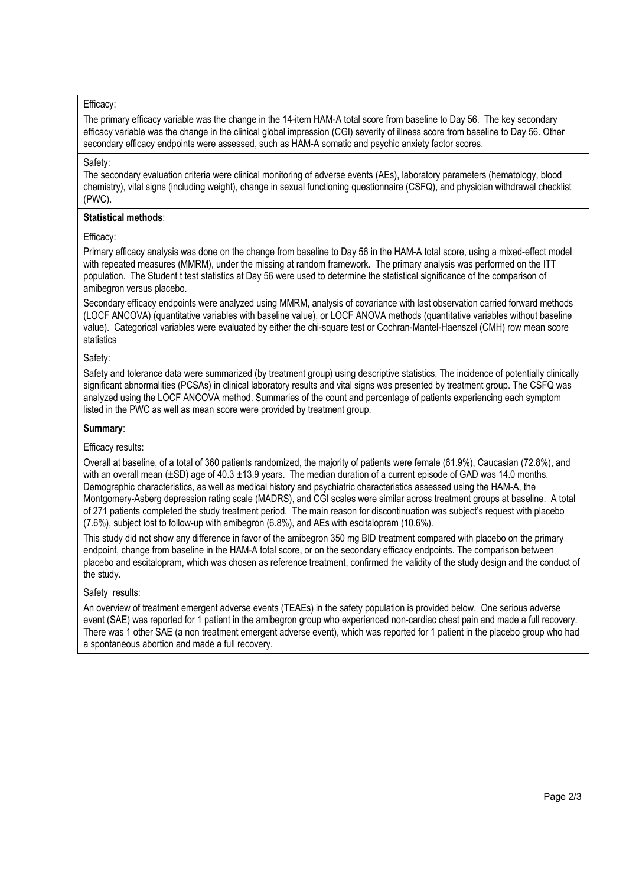## Efficacy:

The primary efficacy variable was the change in the 14-item HAM-A total score from baseline to Day 56. The key secondary efficacy variable was the change in the clinical global impression (CGI) severity of illness score from baseline to Day 56. Other secondary efficacy endpoints were assessed, such as HAM-A somatic and psychic anxiety factor scores.

### Safety:

The secondary evaluation criteria were clinical monitoring of adverse events (AEs), laboratory parameters (hematology, blood chemistry), vital signs (including weight), change in sexual functioning questionnaire (CSFQ), and physician withdrawal checklist (PWC).

### **Statistical methods**:

## Efficacy:

Primary efficacy analysis was done on the change from baseline to Day 56 in the HAM-A total score, using a mixed-effect model with repeated measures (MMRM), under the missing at random framework. The primary analysis was performed on the ITT population. The Student t test statistics at Day 56 were used to determine the statistical significance of the comparison of amibegron versus placebo.

Secondary efficacy endpoints were analyzed using MMRM, analysis of covariance with last observation carried forward methods (LOCF ANCOVA) (quantitative variables with baseline value), or LOCF ANOVA methods (quantitative variables without baseline value). Categorical variables were evaluated by either the chi-square test or Cochran-Mantel-Haenszel (CMH) row mean score statistics

### Safety:

Safety and tolerance data were summarized (by treatment group) using descriptive statistics. The incidence of potentially clinically significant abnormalities (PCSAs) in clinical laboratory results and vital signs was presented by treatment group. The CSFQ was analyzed using the LOCF ANCOVA method. Summaries of the count and percentage of patients experiencing each symptom listed in the PWC as well as mean score were provided by treatment group.

### **Summary**:

## Efficacy results:

Overall at baseline, of a total of 360 patients randomized, the majority of patients were female (61.9%), Caucasian (72.8%), and with an overall mean  $(\pm SD)$  age of 40.3  $\pm$ 13.9 years. The median duration of a current episode of GAD was 14.0 months. Demographic characteristics, as well as medical history and psychiatric characteristics assessed using the HAM-A, the Montgomery-Asberg depression rating scale (MADRS), and CGI scales were similar across treatment groups at baseline. A total of 271 patients completed the study treatment period. The main reason for discontinuation was subject's request with placebo (7.6%), subject lost to follow-up with amibegron (6.8%), and AEs with escitalopram (10.6%).

This study did not show any difference in favor of the amibegron 350 mg BID treatment compared with placebo on the primary endpoint, change from baseline in the HAM-A total score, or on the secondary efficacy endpoints. The comparison between placebo and escitalopram, which was chosen as reference treatment, confirmed the validity of the study design and the conduct of the study.

## Safety results:

An overview of treatment emergent adverse events (TEAEs) in the safety population is provided below. One serious adverse event (SAE) was reported for 1 patient in the amibegron group who experienced non-cardiac chest pain and made a full recovery. There was 1 other SAE (a non treatment emergent adverse event), which was reported for 1 patient in the placebo group who had a spontaneous abortion and made a full recovery.